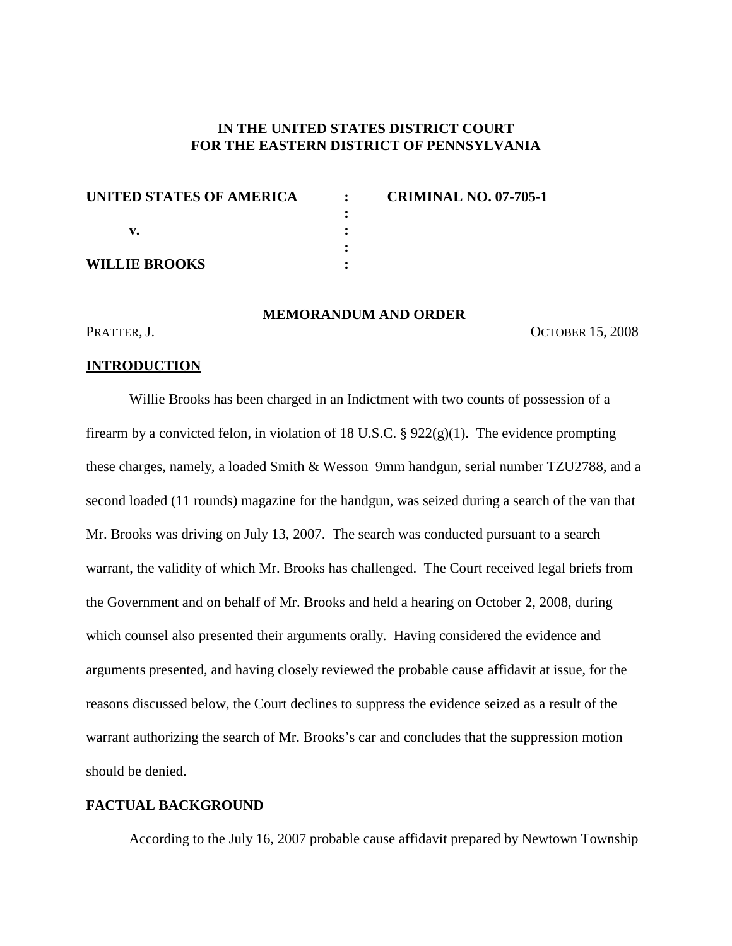# **IN THE UNITED STATES DISTRICT COURT FOR THE EASTERN DISTRICT OF PENNSYLVANIA**

| UNITED STATES OF AMERICA | $\bullet$ | <b>CRIMINAL NO. 07-705-1</b> |
|--------------------------|-----------|------------------------------|
|                          |           |                              |
|                          |           |                              |
|                          |           |                              |
| <b>WILLIE BROOKS</b>     |           |                              |

### **MEMORANDUM AND ORDER**

#### PRATTER, J. OCTOBER 15, 2008

#### **INTRODUCTION**

Willie Brooks has been charged in an Indictment with two counts of possession of a firearm by a convicted felon, in violation of 18 U.S.C. § 922(g)(1). The evidence prompting these charges, namely, a loaded Smith & Wesson 9mm handgun, serial number TZU2788, and a second loaded (11 rounds) magazine for the handgun, was seized during a search of the van that Mr. Brooks was driving on July 13, 2007. The search was conducted pursuant to a search warrant, the validity of which Mr. Brooks has challenged. The Court received legal briefs from the Government and on behalf of Mr. Brooks and held a hearing on October 2, 2008, during which counsel also presented their arguments orally. Having considered the evidence and arguments presented, and having closely reviewed the probable cause affidavit at issue, for the reasons discussed below, the Court declines to suppress the evidence seized as a result of the warrant authorizing the search of Mr. Brooks's car and concludes that the suppression motion should be denied.

### **FACTUAL BACKGROUND**

According to the July 16, 2007 probable cause affidavit prepared by Newtown Township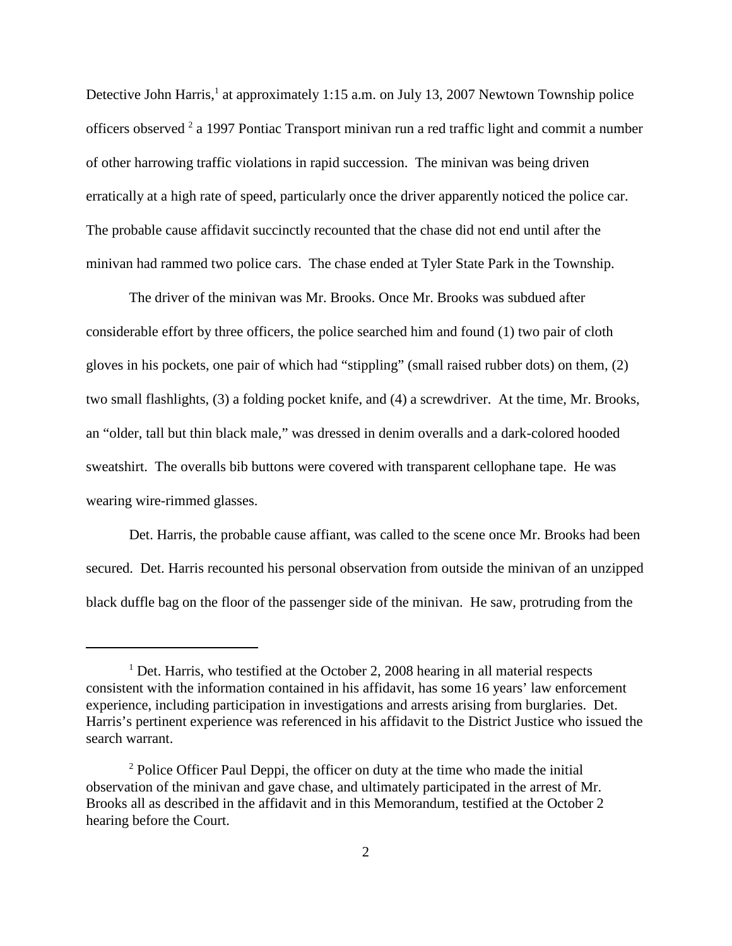Detective John Harris,<sup>1</sup> at approximately 1:15 a.m. on July 13, 2007 Newtown Township police officers observed <sup>2</sup> a 1997 Pontiac Transport minivan run a red traffic light and commit a number of other harrowing traffic violations in rapid succession. The minivan was being driven erratically at a high rate of speed, particularly once the driver apparently noticed the police car. The probable cause affidavit succinctly recounted that the chase did not end until after the minivan had rammed two police cars. The chase ended at Tyler State Park in the Township.

The driver of the minivan was Mr. Brooks. Once Mr. Brooks was subdued after considerable effort by three officers, the police searched him and found (1) two pair of cloth gloves in his pockets, one pair of which had "stippling" (small raised rubber dots) on them, (2) two small flashlights, (3) a folding pocket knife, and (4) a screwdriver. At the time, Mr. Brooks, an "older, tall but thin black male," was dressed in denim overalls and a dark-colored hooded sweatshirt. The overalls bib buttons were covered with transparent cellophane tape. He was wearing wire-rimmed glasses.

Det. Harris, the probable cause affiant, was called to the scene once Mr. Brooks had been secured. Det. Harris recounted his personal observation from outside the minivan of an unzipped black duffle bag on the floor of the passenger side of the minivan. He saw, protruding from the

<sup>&</sup>lt;sup>1</sup> Det. Harris, who testified at the October 2, 2008 hearing in all material respects consistent with the information contained in his affidavit, has some 16 years' law enforcement experience, including participation in investigations and arrests arising from burglaries. Det. Harris's pertinent experience was referenced in his affidavit to the District Justice who issued the search warrant.

 $2$  Police Officer Paul Deppi, the officer on duty at the time who made the initial observation of the minivan and gave chase, and ultimately participated in the arrest of Mr. Brooks all as described in the affidavit and in this Memorandum, testified at the October 2 hearing before the Court.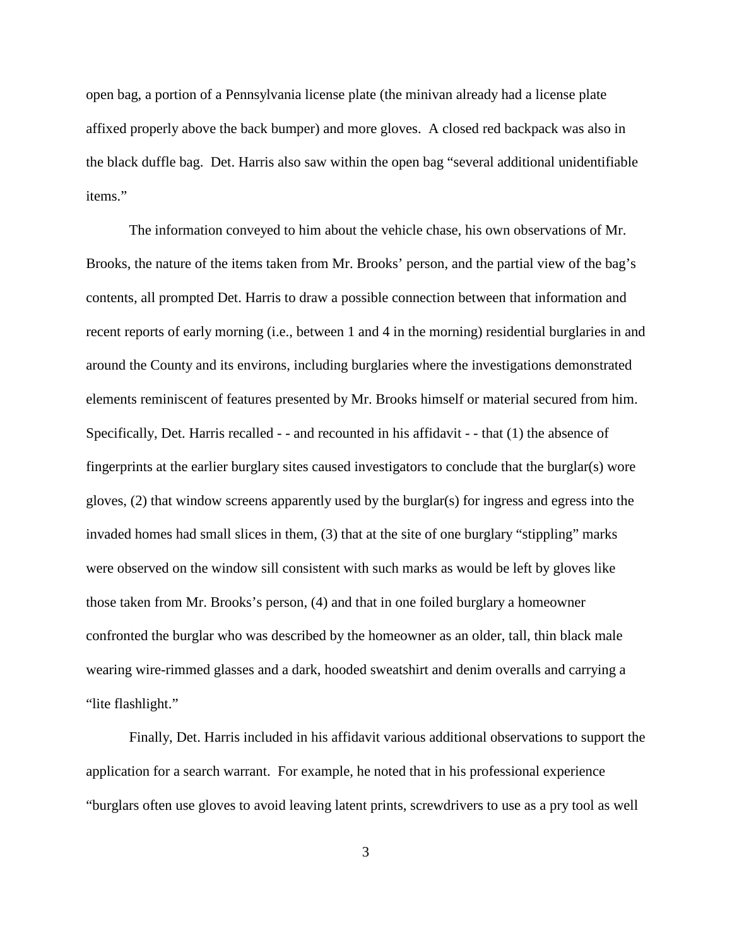open bag, a portion of a Pennsylvania license plate (the minivan already had a license plate affixed properly above the back bumper) and more gloves. A closed red backpack was also in the black duffle bag. Det. Harris also saw within the open bag "several additional unidentifiable items."

The information conveyed to him about the vehicle chase, his own observations of Mr. Brooks, the nature of the items taken from Mr. Brooks' person, and the partial view of the bag's contents, all prompted Det. Harris to draw a possible connection between that information and recent reports of early morning (i.e., between 1 and 4 in the morning) residential burglaries in and around the County and its environs, including burglaries where the investigations demonstrated elements reminiscent of features presented by Mr. Brooks himself or material secured from him. Specifically, Det. Harris recalled - - and recounted in his affidavit - - that (1) the absence of fingerprints at the earlier burglary sites caused investigators to conclude that the burglar(s) wore gloves, (2) that window screens apparently used by the burglar(s) for ingress and egress into the invaded homes had small slices in them, (3) that at the site of one burglary "stippling" marks were observed on the window sill consistent with such marks as would be left by gloves like those taken from Mr. Brooks's person, (4) and that in one foiled burglary a homeowner confronted the burglar who was described by the homeowner as an older, tall, thin black male wearing wire-rimmed glasses and a dark, hooded sweatshirt and denim overalls and carrying a "lite flashlight."

Finally, Det. Harris included in his affidavit various additional observations to support the application for a search warrant. For example, he noted that in his professional experience "burglars often use gloves to avoid leaving latent prints, screwdrivers to use as a pry tool as well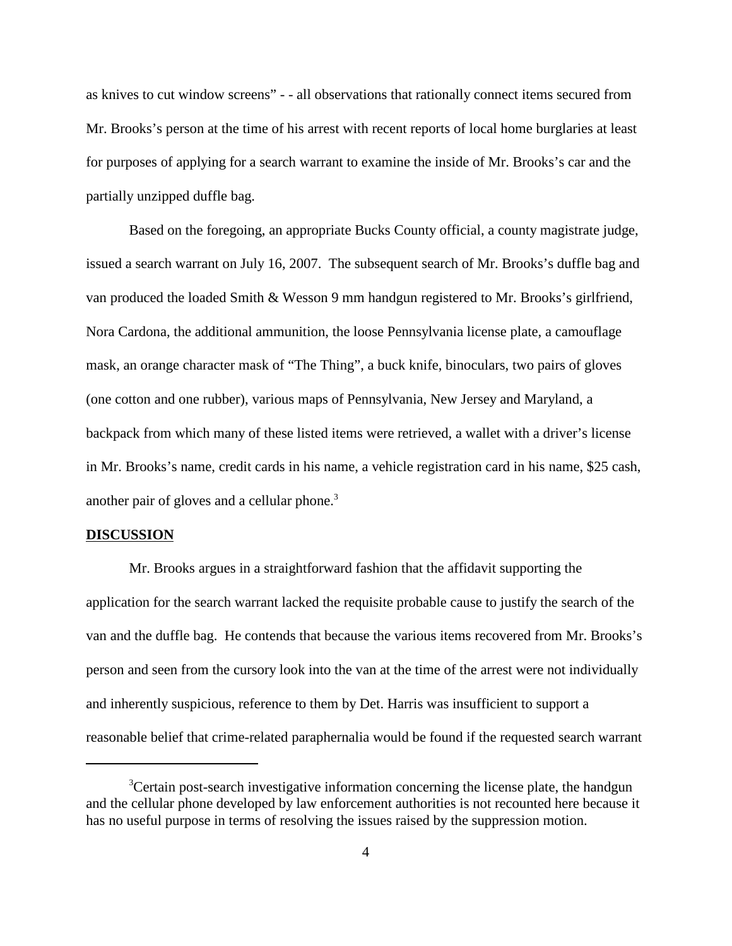as knives to cut window screens" - - all observations that rationally connect items secured from Mr. Brooks's person at the time of his arrest with recent reports of local home burglaries at least for purposes of applying for a search warrant to examine the inside of Mr. Brooks's car and the partially unzipped duffle bag.

Based on the foregoing, an appropriate Bucks County official, a county magistrate judge, issued a search warrant on July 16, 2007. The subsequent search of Mr. Brooks's duffle bag and van produced the loaded Smith & Wesson 9 mm handgun registered to Mr. Brooks's girlfriend, Nora Cardona, the additional ammunition, the loose Pennsylvania license plate, a camouflage mask, an orange character mask of "The Thing", a buck knife, binoculars, two pairs of gloves (one cotton and one rubber), various maps of Pennsylvania, New Jersey and Maryland, a backpack from which many of these listed items were retrieved, a wallet with a driver's license in Mr. Brooks's name, credit cards in his name, a vehicle registration card in his name, \$25 cash, another pair of gloves and a cellular phone. 3

#### **DISCUSSION**

Mr. Brooks argues in a straightforward fashion that the affidavit supporting the application for the search warrant lacked the requisite probable cause to justify the search of the van and the duffle bag. He contends that because the various items recovered from Mr. Brooks's person and seen from the cursory look into the van at the time of the arrest were not individually and inherently suspicious, reference to them by Det. Harris was insufficient to support a reasonable belief that crime-related paraphernalia would be found if the requested search warrant

<sup>&</sup>lt;sup>3</sup>Certain post-search investigative information concerning the license plate, the handgun and the cellular phone developed by law enforcement authorities is not recounted here because it has no useful purpose in terms of resolving the issues raised by the suppression motion.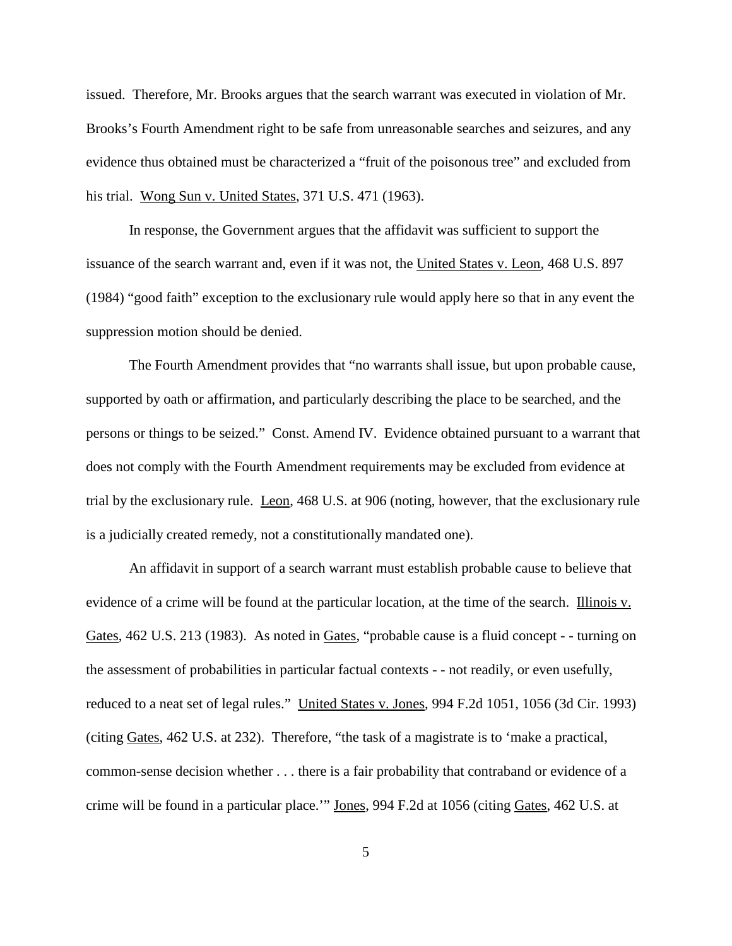issued. Therefore, Mr. Brooks argues that the search warrant was executed in violation of Mr. Brooks's Fourth Amendment right to be safe from unreasonable searches and seizures, and any evidence thus obtained must be characterized a "fruit of the poisonous tree" and excluded from his trial. Wong Sun v. United States, 371 U.S. 471 (1963).

In response, the Government argues that the affidavit was sufficient to support the issuance of the search warrant and, even if it was not, the United States v. Leon, 468 U.S. 897 (1984) "good faith" exception to the exclusionary rule would apply here so that in any event the suppression motion should be denied.

The Fourth Amendment provides that "no warrants shall issue, but upon probable cause, supported by oath or affirmation, and particularly describing the place to be searched, and the persons or things to be seized." Const. Amend IV. Evidence obtained pursuant to a warrant that does not comply with the Fourth Amendment requirements may be excluded from evidence at trial by the exclusionary rule. Leon, 468 U.S. at 906 (noting, however, that the exclusionary rule is a judicially created remedy, not a constitutionally mandated one).

An affidavit in support of a search warrant must establish probable cause to believe that evidence of a crime will be found at the particular location, at the time of the search. Illinois v. Gates, 462 U.S. 213 (1983). As noted in Gates, "probable cause is a fluid concept - - turning on the assessment of probabilities in particular factual contexts - - not readily, or even usefully, reduced to a neat set of legal rules." United States v. Jones, 994 F.2d 1051, 1056 (3d Cir. 1993) (citing Gates, 462 U.S. at 232). Therefore, "the task of a magistrate is to 'make a practical, common-sense decision whether . . . there is a fair probability that contraband or evidence of a crime will be found in a particular place.'" Jones, 994 F.2d at 1056 (citing Gates, 462 U.S. at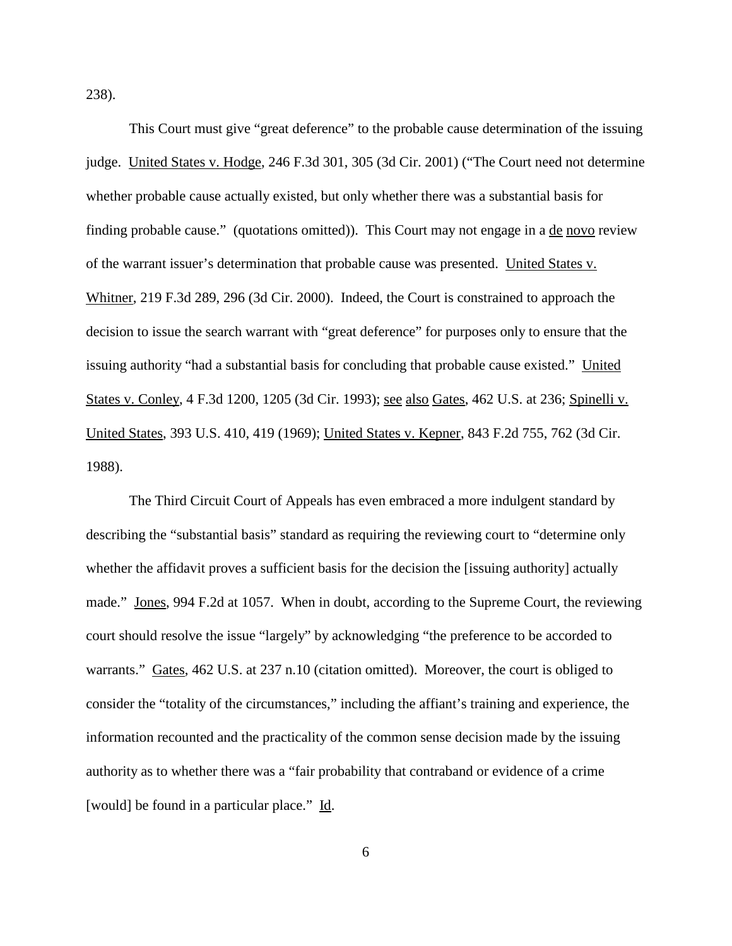238).

This Court must give "great deference" to the probable cause determination of the issuing judge. United States v. Hodge, 246 F.3d 301, 305 (3d Cir. 2001) ("The Court need not determine whether probable cause actually existed, but only whether there was a substantial basis for finding probable cause." (quotations omitted)). This Court may not engage in a <u>de novo</u> review of the warrant issuer's determination that probable cause was presented. United States v. Whitner, 219 F.3d 289, 296 (3d Cir. 2000). Indeed, the Court is constrained to approach the decision to issue the search warrant with "great deference" for purposes only to ensure that the issuing authority "had a substantial basis for concluding that probable cause existed." United States v. Conley, 4 F.3d 1200, 1205 (3d Cir. 1993); <u>see also Gates</u>, 462 U.S. at 236; Spinelli v. United States, 393 U.S. 410, 419 (1969); United States v. Kepner, 843 F.2d 755, 762 (3d Cir. 1988).

The Third Circuit Court of Appeals has even embraced a more indulgent standard by describing the "substantial basis" standard as requiring the reviewing court to "determine only whether the affidavit proves a sufficient basis for the decision the [issuing authority] actually made." Jones, 994 F.2d at 1057. When in doubt, according to the Supreme Court, the reviewing court should resolve the issue "largely" by acknowledging "the preference to be accorded to warrants." Gates, 462 U.S. at 237 n.10 (citation omitted). Moreover, the court is obliged to consider the "totality of the circumstances," including the affiant's training and experience, the information recounted and the practicality of the common sense decision made by the issuing authority as to whether there was a "fair probability that contraband or evidence of a crime [would] be found in a particular place." Id.

6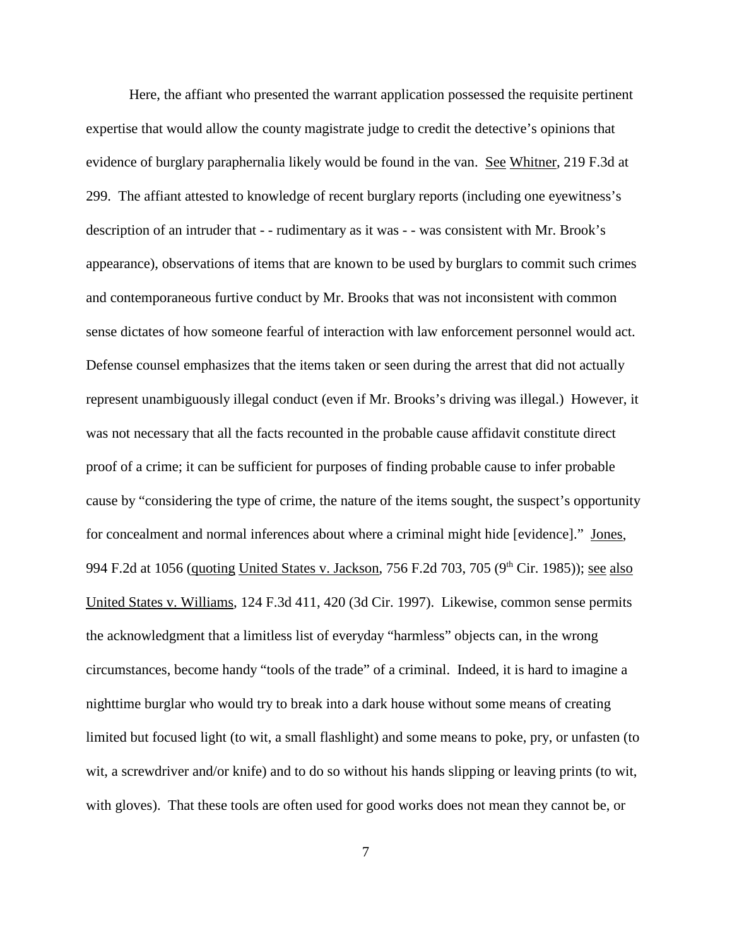Here, the affiant who presented the warrant application possessed the requisite pertinent expertise that would allow the county magistrate judge to credit the detective's opinions that evidence of burglary paraphernalia likely would be found in the van. See Whitner, 219 F.3d at 299. The affiant attested to knowledge of recent burglary reports (including one eyewitness's description of an intruder that - - rudimentary as it was - - was consistent with Mr. Brook's appearance), observations of items that are known to be used by burglars to commit such crimes and contemporaneous furtive conduct by Mr. Brooks that was not inconsistent with common sense dictates of how someone fearful of interaction with law enforcement personnel would act. Defense counsel emphasizes that the items taken or seen during the arrest that did not actually represent unambiguously illegal conduct (even if Mr. Brooks's driving was illegal.) However, it was not necessary that all the facts recounted in the probable cause affidavit constitute direct proof of a crime; it can be sufficient for purposes of finding probable cause to infer probable cause by "considering the type of crime, the nature of the items sought, the suspect's opportunity for concealment and normal inferences about where a criminal might hide [evidence]." Jones, 994 F.2d at 1056 (quoting United States v. Jackson, 756 F.2d 703, 705 (9<sup>th</sup> Cir. 1985)); see also United States v. Williams, 124 F.3d 411, 420 (3d Cir. 1997). Likewise, common sense permits the acknowledgment that a limitless list of everyday "harmless" objects can, in the wrong circumstances, become handy "tools of the trade" of a criminal. Indeed, it is hard to imagine a nighttime burglar who would try to break into a dark house without some means of creating limited but focused light (to wit, a small flashlight) and some means to poke, pry, or unfasten (to wit, a screwdriver and/or knife) and to do so without his hands slipping or leaving prints (to wit, with gloves). That these tools are often used for good works does not mean they cannot be, or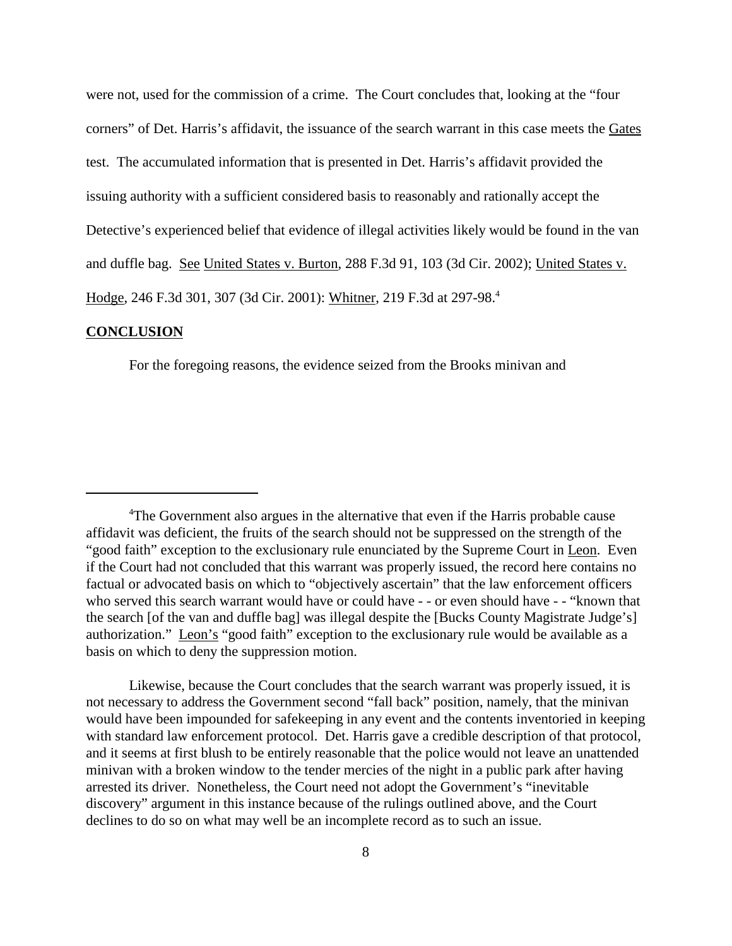were not, used for the commission of a crime. The Court concludes that, looking at the "four corners" of Det. Harris's affidavit, the issuance of the search warrant in this case meets the Gates test. The accumulated information that is presented in Det. Harris's affidavit provided the issuing authority with a sufficient considered basis to reasonably and rationally accept the Detective's experienced belief that evidence of illegal activities likely would be found in the van and duffle bag. See United States v. Burton, 288 F.3d 91, 103 (3d Cir. 2002); United States v. Hodge, 246 F.3d 301, 307 (3d Cir. 2001): Whitner, 219 F.3d at 297-98.<sup>4</sup>

#### **CONCLUSION**

For the foregoing reasons, the evidence seized from the Brooks minivan and

Likewise, because the Court concludes that the search warrant was properly issued, it is not necessary to address the Government second "fall back" position, namely, that the minivan would have been impounded for safekeeping in any event and the contents inventoried in keeping with standard law enforcement protocol. Det. Harris gave a credible description of that protocol, and it seems at first blush to be entirely reasonable that the police would not leave an unattended minivan with a broken window to the tender mercies of the night in a public park after having arrested its driver. Nonetheless, the Court need not adopt the Government's "inevitable discovery" argument in this instance because of the rulings outlined above, and the Court declines to do so on what may well be an incomplete record as to such an issue.

<sup>&</sup>lt;sup>4</sup>The Government also argues in the alternative that even if the Harris probable cause affidavit was deficient, the fruits of the search should not be suppressed on the strength of the "good faith" exception to the exclusionary rule enunciated by the Supreme Court in Leon. Even if the Court had not concluded that this warrant was properly issued, the record here contains no factual or advocated basis on which to "objectively ascertain" that the law enforcement officers who served this search warrant would have or could have - - or even should have - - "known that the search [of the van and duffle bag] was illegal despite the [Bucks County Magistrate Judge's] authorization." Leon's "good faith" exception to the exclusionary rule would be available as a basis on which to deny the suppression motion.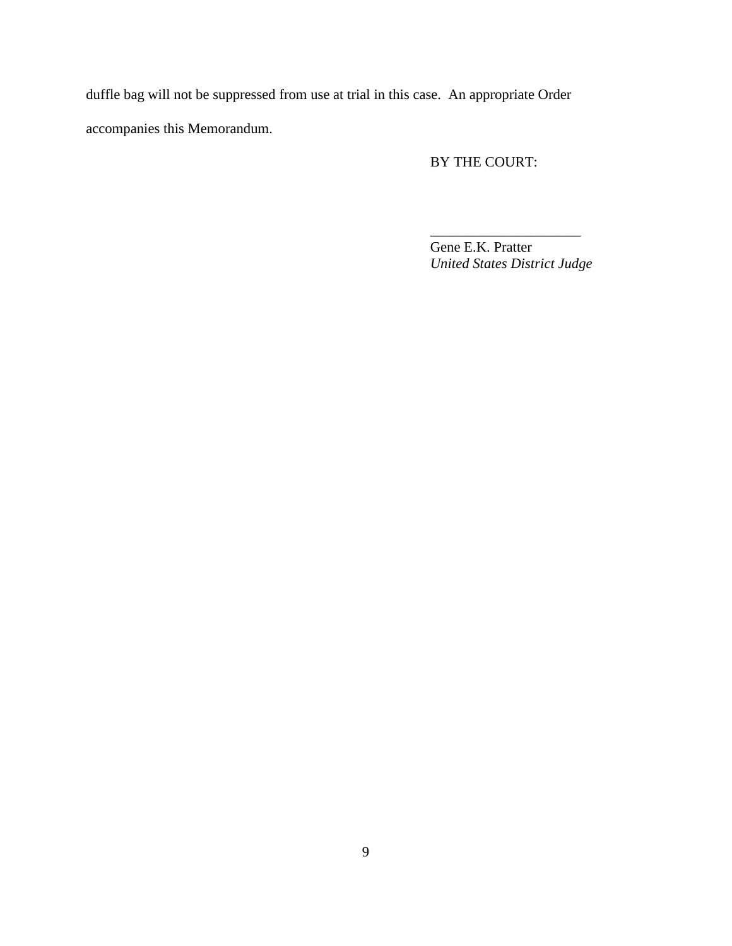duffle bag will not be suppressed from use at trial in this case. An appropriate Order accompanies this Memorandum.

# BY THE COURT:

Gene E.K. Pratter *United States District Judge*

\_\_\_\_\_\_\_\_\_\_\_\_\_\_\_\_\_\_\_\_\_